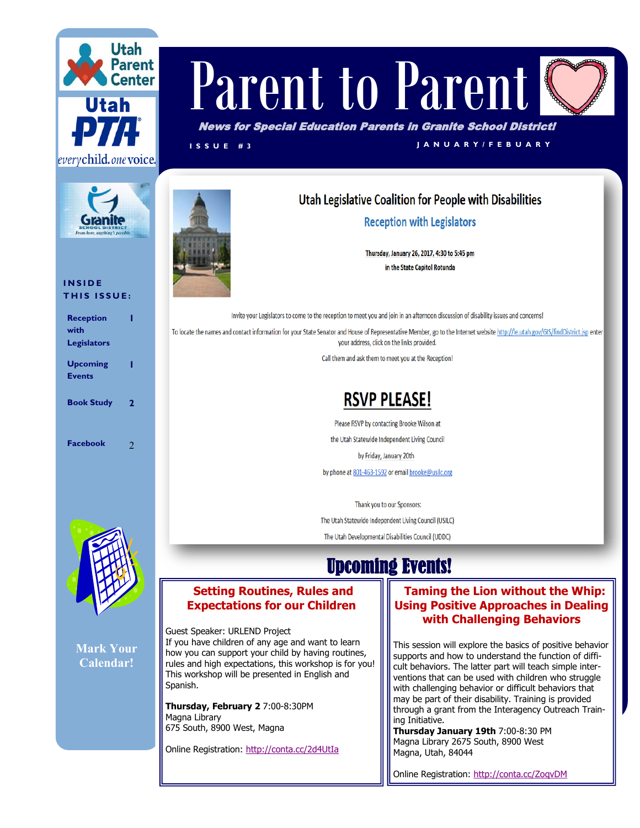



#### **I N S I D E THIS ISSUE:**

| <b>Reception</b>   |                |
|--------------------|----------------|
| with               |                |
| <b>Legislators</b> |                |
| <b>Upcoming</b>    |                |
| <b>Events</b>      |                |
| <b>Book Study</b>  | 2              |
| Facebook           | $\mathfrak{D}$ |



**Mark Your Calendar!**

# Parent to Parent

News for Special Education Parents in Granite School District!

**I S S U E # 3 J A N U A R Y / F E B U A R Y**

### Utah Legislative Coalition for People with Disabilities

**Reception with Legislators** 

Thursday, January 26, 2017, 4:30 to 5:45 pm in the State Capitol Rotunda

Invite your Legislators to come to the reception to meet you and join in an afternoon discussion of disability issues and concerns! To locate the names and contact information for your State Senator and House of Representative Member, go to the Internet website http://le.utah.gov/GIS/findDistrict.jsp enter your address, click on the links provided.

Call them and ask them to meet you at the Reception!

## **RSVP PLEASE!**

Please RSVP by contacting Brooke Wilson at the Utah Statewide Independent Living Council by Friday, January 20th by phone at 801-463-1592 or email brooke@usilc.org

Thank you to our Sponsors: The Utah Statewide Independent Living Council (USILC) The Utah Developmental Disabilities Council (UDDC)

## Upcoming Events!

#### **Setting Routines, Rules and Expectations for our Children**

Guest Speaker: URLEND Project If you have children of any age and want to learn how you can support your child by having routines, rules and high expectations, this workshop is for you! This workshop will be presented in English and Spanish.

**Thursday, February 2** 7:00-8:30PM Magna Library 675 South, 8900 West, Magna

Online Registration:<http://conta.cc/2d4UtIa>

#### **[T](http://conta.cc/1OTrsaY)aming the Lion without the Whip: Using Positive Approaches in Dealing with Challenging Behaviors**

This session will explore the basics of positive behavior supports and how to understand the function of difficult behaviors. The latter part will teach simple interventions that can be used with children who struggle with challenging behavior or difficult behaviors that may be part of their disability. Training is provided through a grant from the Interagency Outreach Training Initiative.

**Thursday January 19th** 7:00-8:30 PM Magna Library 2675 South, 8900 West Magna, Utah, 84044

Online Registration:<http://conta.cc/ZoqvDM>